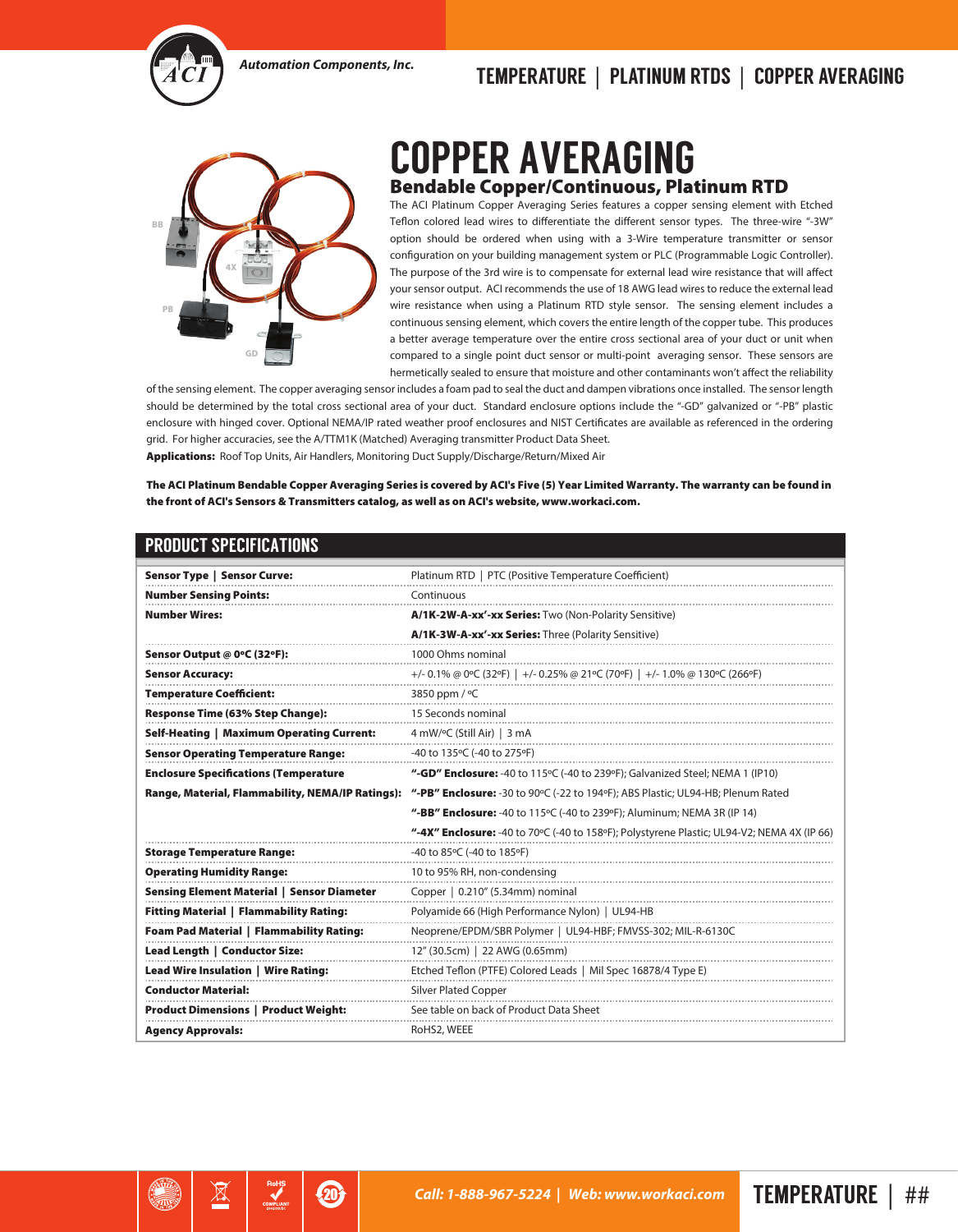

## *Automation Components, Inc.* TEMPERATURE | PLATINUM RTDS | COPPER AVERAGING



## COPPER AVERAGING Bendable Copper/Continuous, Platinum RTD

The ACI Platinum Copper Averaging Series features a copper sensing element with Etched Teflon colored lead wires to differentiate the different sensor types. The three-wire "-3W" option should be ordered when using with a 3-Wire temperature transmitter or sensor configuration on your building management system or PLC (Programmable Logic Controller). The purpose of the 3rd wire is to compensate for external lead wire resistance that will affect your sensor output. ACI recommends the use of 18 AWG lead wires to reduce the external lead wire resistance when using a Platinum RTD style sensor. The sensing element includes a continuous sensing element, which covers the entire length of the copper tube. This produces a better average temperature over the entire cross sectional area of your duct or unit when compared to a single point duct sensor or multi-point averaging sensor. These sensors are hermetically sealed to ensure that moisture and other contaminants won't affect the reliability

of the sensing element. The copper averaging sensor includes a foam pad to seal the duct and dampen vibrations once installed. The sensor length should be determined by the total cross sectional area of your duct. Standard enclosure options include the "-GD" galvanized or "-PB" plastic enclosure with hinged cover. Optional NEMA/IP rated weather proof enclosures and NIST Certificates are available as referenced in the ordering grid. For higher accuracies, see the A/TTM1K (Matched) Averaging transmitter Product Data Sheet. Applications: Roof Top Units, Air Handlers, Monitoring Duct Supply/Discharge/Return/Mixed Air

The ACI Platinum Bendable Copper Averaging Series is covered by ACI's Five (5) Year Limited Warranty. The warranty can be found in the front of ACI's Sensors & Transmitters catalog, as well as on ACI's website, www.workaci.com.

## PRODUCT SPECIFICATIONS

⊠

 $\bm{\mathcal{D}}$ 

| <b>Sensor Type   Sensor Curve:</b>                | Platinum RTD   PTC (Positive Temperature Coefficient)                                             |
|---------------------------------------------------|---------------------------------------------------------------------------------------------------|
| <b>Number Sensing Points:</b>                     | Continuous                                                                                        |
| <b>Number Wires:</b>                              | A/1K-2W-A-xx'-xx Series: Two (Non-Polarity Sensitive)                                             |
|                                                   | A/1K-3W-A-xx'-xx Series: Three (Polarity Sensitive)                                               |
| Sensor Output @ 0°C (32°F):                       | 1000 Ohms nominal                                                                                 |
| <b>Sensor Accuracy:</b>                           | +/- 0.1% @ 0°C (32°F)   +/- 0.25% @ 21°C (70°F)   +/- 1.0% @ 130°C (266°F)                        |
| <b>Temperature Coefficient:</b>                   | 3850 ppm / °C                                                                                     |
| <b>Response Time (63% Step Change):</b>           | 15 Seconds nominal                                                                                |
| <b>Self-Heating   Maximum Operating Current:</b>  | 4 mW/°C (Still Air)   3 mA                                                                        |
| <b>Sensor Operating Temperature Range:</b>        | -40 to 135°C (-40 to 275°F)                                                                       |
| <b>Enclosure Specifications (Temperature</b>      | "-GD" Enclosure: -40 to 115 $\degree$ C (-40 to 239 $\degree$ F); Galvanized Steel; NEMA 1 (IP10) |
| Range, Material, Flammability, NEMA/IP Ratings):  | "-PB" Enclosure: -30 to 90°C (-22 to 194°F); ABS Plastic; UL94-HB; Plenum Rated                   |
|                                                   | "-BB" Enclosure: -40 to 115°C (-40 to 239°F); Aluminum; NEMA 3R (IP 14)                           |
|                                                   | "-4X" Enclosure: -40 to 70°C (-40 to 158°F); Polystyrene Plastic; UL94-V2; NEMA 4X (IP 66)        |
| <b>Storage Temperature Range:</b>                 | -40 to 85°C (-40 to 185°F)                                                                        |
| <b>Operating Humidity Range:</b>                  | 10 to 95% RH, non-condensing                                                                      |
| <b>Sensing Element Material   Sensor Diameter</b> | Copper   0.210" (5.34mm) nominal                                                                  |
| <b>Fitting Material   Flammability Rating:</b>    | Polyamide 66 (High Performance Nylon)   UL94-HB                                                   |
| <b>Foam Pad Material   Flammability Rating:</b>   | Neoprene/EPDM/SBR Polymer   UL94-HBF; FMVSS-302; MIL-R-6130C                                      |
| Lead Length   Conductor Size:                     | 12" (30.5cm)   22 AWG (0.65mm)                                                                    |
| <b>Lead Wire Insulation   Wire Rating:</b>        | Etched Teflon (PTFE) Colored Leads   Mil Spec 16878/4 Type E)                                     |
| <b>Conductor Material:</b>                        | <b>Silver Plated Copper</b>                                                                       |
| <b>Product Dimensions   Product Weight:</b>       | See table on back of Product Data Sheet                                                           |
| <b>Agency Approvals:</b>                          | RoHS2, WEEE                                                                                       |